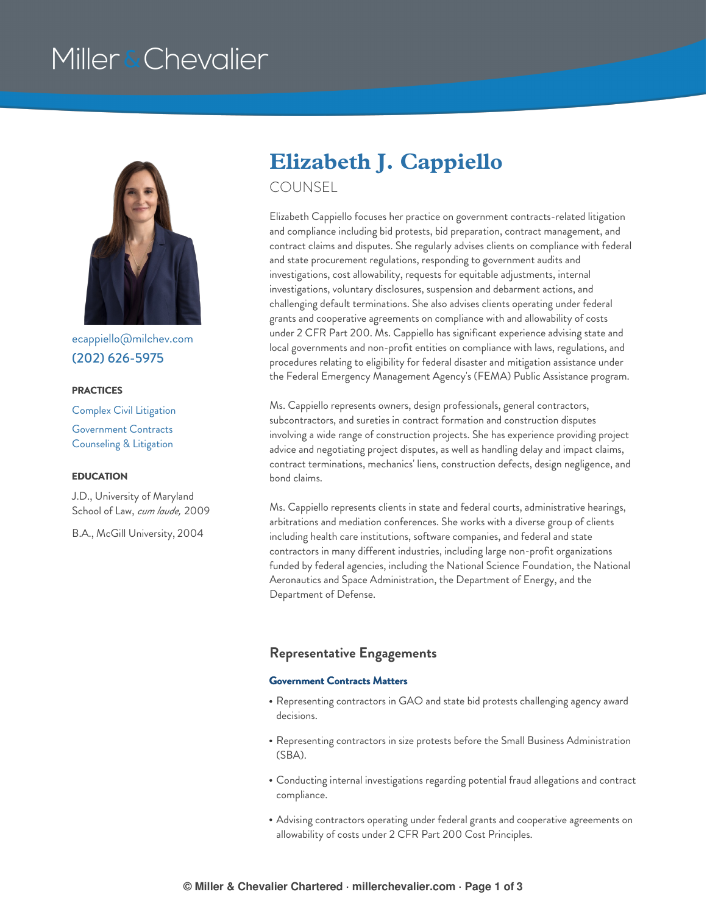# Miller & Chevalier



[ecappiello@milchev.com](mailto:ecappiello@milchev.com) (202) [626-5975](tel:202.626.5975)

#### **PRACTICES**

Complex Civil [Litigation](https://www.millerchevalier.com/practice-area/complex-civil-litigation) [Government](https://www.millerchevalier.com/practice-area/government-contracts-counseling-litigation) Contracts Counseling & Litigation

#### **EDUCATION**

J.D., University of Maryland School of Law, *cum laude,* 2009

B.A., McGill University, 2004

# **Elizabeth J. Cappiello**

COUNSEL

Elizabeth Cappiello focuses her practice on government contracts-related litigation and compliance including bid protests, bid preparation, contract management, and contract claims and disputes. She regularly advises clients on compliance with federal and state procurement regulations, responding to government audits and investigations, cost allowability, requests for equitable adjustments, internal investigations, voluntary disclosures, suspension and debarment actions, and challenging default terminations. She also advises clients operating under federal grants and cooperative agreements on compliance with and allowability of costs under 2 CFR Part 200. Ms. Cappiello has significant experience advising state and local governments and non-profit entities on compliance with laws, regulations, and procedures relating to eligibility for federal disaster and mitigation assistance under the Federal Emergency Management Agency's (FEMA) Public Assistance program.

Ms. Cappiello represents owners, design professionals, general contractors, subcontractors, and sureties in contract formation and construction disputes involving a wide range of construction projects. She has experience providing project advice and negotiating project disputes, as well as handling delay and impact claims, contract terminations, mechanics' liens, construction defects, design negligence, and bond claims.

Ms. Cappiello represents clients in state and federal courts, administrative hearings, arbitrations and mediation conferences. She works with a diverse group of clients including health care institutions, software companies, and federal and state contractors in many different industries, including large non-profit organizations funded by federal agencies, including the National Science Foundation, the National Aeronautics and Space Administration, the Department of Energy, and the Department of Defense.

#### **Representative Engagements**

#### **Government Contracts Matters**

- Representing contractors in GAO and state bid protests challenging agency award decisions.
- Representing contractors in size protests before the Small Business Administration (SBA).
- Conducting internal investigations regarding potential fraud allegations and contract compliance.
- Advising contractors operating under federal grants and cooperative agreements on allowability of costs under 2 CFR Part 200 Cost Principles.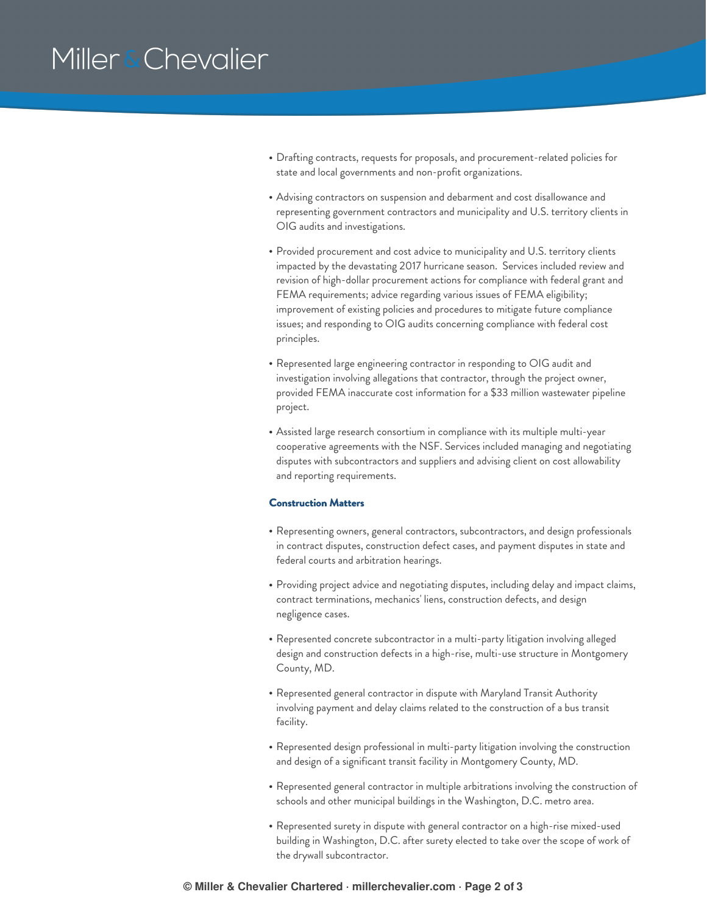# Miller & Chevalier

- Drafting contracts, requests for proposals, and procurement-related policies for state and local governments and non-profit organizations.
- Advising contractors on suspension and debarment and cost disallowance and representing government contractors and municipality and U.S. territory clients in OIG audits and investigations.
- Provided procurement and cost advice to municipality and U.S. territory clients impacted by the devastating 2017 hurricane season. Services included review and revision of high-dollar procurement actions for compliance with federal grant and FEMA requirements; advice regarding various issues of FEMA eligibility; improvement of existing policies and procedures to mitigate future compliance issues; and responding to OIG audits concerning compliance with federal cost principles.
- Represented large engineering contractor in responding to OIG audit and investigation involving allegations that contractor, through the project owner, provided FEMA inaccurate cost information for a \$33 million wastewater pipeline project.
- Assisted large research consortium in compliance with its multiple multi-year cooperative agreements with the NSF. Services included managing and negotiating disputes with subcontractors and suppliers and advising client on cost allowability and reporting requirements.

#### **Construction Matters**

- Representing owners, general contractors, subcontractors, and design professionals in contract disputes, construction defect cases, and payment disputes in state and federal courts and arbitration hearings.
- Providing project advice and negotiating disputes, including delay and impact claims, contract terminations, mechanics' liens, construction defects, and design negligence cases.
- Represented concrete subcontractor in a multi-party litigation involving alleged design and construction defects in a high-rise, multi-use structure in Montgomery County, MD.
- Represented general contractor in dispute with Maryland Transit Authority involving payment and delay claims related to the construction of a bus transit facility.
- Represented design professional in multi-party litigation involving the construction and design of a significant transit facility in Montgomery County, MD.
- Represented general contractor in multiple arbitrations involving the construction of schools and other municipal buildings in the Washington, D.C. metro area.
- Represented surety in dispute with general contractor on a high-rise mixed-used building in Washington, D.C. after surety elected to take over the scope of work of the drywall subcontractor.